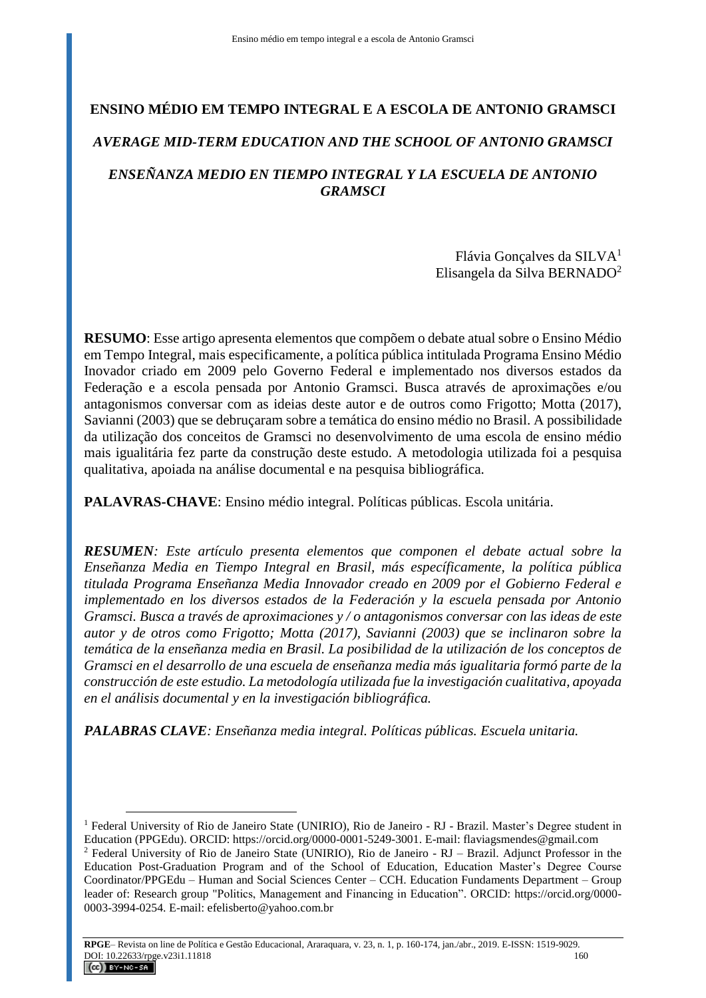# **ENSINO MÉDIO EM TEMPO INTEGRAL E A ESCOLA DE ANTONIO GRAMSCI**

# *AVERAGE MID-TERM EDUCATION AND THE SCHOOL OF ANTONIO GRAMSCI*

## *ENSEÑANZA MEDIO EN TIEMPO INTEGRAL Y LA ESCUELA DE ANTONIO GRAMSCI*

Flávia Gonçalves da SILVA<sup>1</sup> Elisangela da Silva BERNADO<sup>2</sup>

**RESUMO**: Esse artigo apresenta elementos que compõem o debate atual sobre o Ensino Médio em Tempo Integral, mais especificamente, a política pública intitulada Programa Ensino Médio Inovador criado em 2009 pelo Governo Federal e implementado nos diversos estados da Federação e a escola pensada por Antonio Gramsci. Busca através de aproximações e/ou antagonismos conversar com as ideias deste autor e de outros como Frigotto; Motta (2017), Savianni (2003) que se debruçaram sobre a temática do ensino médio no Brasil. A possibilidade da utilização dos conceitos de Gramsci no desenvolvimento de uma escola de ensino médio mais igualitária fez parte da construção deste estudo. A metodologia utilizada foi a pesquisa qualitativa, apoiada na análise documental e na pesquisa bibliográfica.

**PALAVRAS-CHAVE**: Ensino médio integral. Políticas públicas. Escola unitária.

*RESUMEN: Este artículo presenta elementos que componen el debate actual sobre la Enseñanza Media en Tiempo Integral en Brasil, más específicamente, la política pública titulada Programa Enseñanza Media Innovador creado en 2009 por el Gobierno Federal e implementado en los diversos estados de la Federación y la escuela pensada por Antonio Gramsci. Busca a través de aproximaciones y / o antagonismos conversar con las ideas de este autor y de otros como Frigotto; Motta (2017), Savianni (2003) que se inclinaron sobre la temática de la enseñanza media en Brasil. La posibilidad de la utilización de los conceptos de Gramsci en el desarrollo de una escuela de enseñanza media más igualitaria formó parte de la construcción de este estudio. La metodología utilizada fue la investigación cualitativa, apoyada en el análisis documental y en la investigación bibliográfica.*

*PALABRAS CLAVE: Enseñanza media integral. Políticas públicas. Escuela unitaria.*

<sup>1</sup> Federal University of Rio de Janeiro State (UNIRIO), Rio de Janeiro - RJ - Brazil. Master's Degree student in Education (PPGEdu). ORCID: https://orcid.org/0000-0001-5249-3001. E-mail: flaviagsmendes@gmail.com

<sup>2</sup> Federal University of Rio de Janeiro State (UNIRIO), Rio de Janeiro - RJ – Brazil. Adjunct Professor in the Education Post-Graduation Program and of the School of Education, Education Master's Degree Course Coordinator/PPGEdu – Human and Social Sciences Center – CCH. Education Fundaments Department – Group leader of: Research group "Politics, Management and Financing in Education". ORCID: https://orcid.org/0000- 0003-3994-0254. E-mail: efelisberto@yahoo.com.br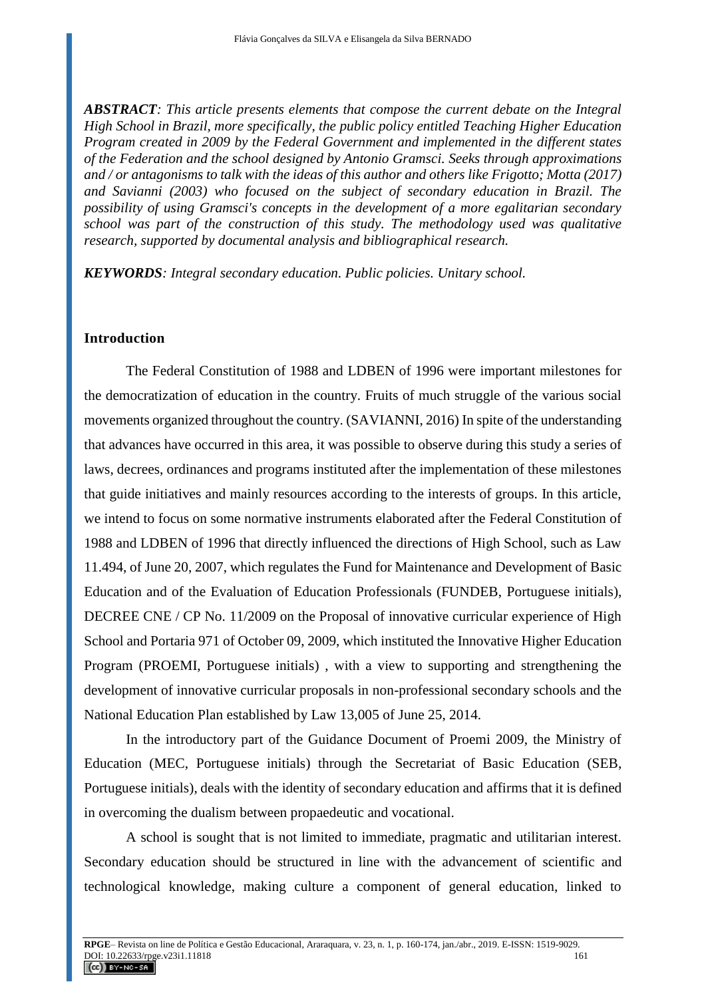*ABSTRACT: This article presents elements that compose the current debate on the Integral High School in Brazil, more specifically, the public policy entitled Teaching Higher Education Program created in 2009 by the Federal Government and implemented in the different states of the Federation and the school designed by Antonio Gramsci. Seeks through approximations and / or antagonisms to talk with the ideas of this author and others like Frigotto; Motta (2017) and Savianni (2003) who focused on the subject of secondary education in Brazil. The possibility of using Gramsci's concepts in the development of a more egalitarian secondary school was part of the construction of this study. The methodology used was qualitative research, supported by documental analysis and bibliographical research.*

*KEYWORDS: Integral secondary education. Public policies. Unitary school.*

#### **Introduction**

The Federal Constitution of 1988 and LDBEN of 1996 were important milestones for the democratization of education in the country. Fruits of much struggle of the various social movements organized throughout the country. (SAVIANNI, 2016) In spite of the understanding that advances have occurred in this area, it was possible to observe during this study a series of laws, decrees, ordinances and programs instituted after the implementation of these milestones that guide initiatives and mainly resources according to the interests of groups. In this article, we intend to focus on some normative instruments elaborated after the Federal Constitution of 1988 and LDBEN of 1996 that directly influenced the directions of High School, such as Law 11.494, of June 20, 2007, which regulates the Fund for Maintenance and Development of Basic Education and of the Evaluation of Education Professionals (FUNDEB, Portuguese initials), DECREE CNE / CP No. 11/2009 on the Proposal of innovative curricular experience of High School and Portaria 971 of October 09, 2009, which instituted the Innovative Higher Education Program (PROEMI, Portuguese initials) , with a view to supporting and strengthening the development of innovative curricular proposals in non-professional secondary schools and the National Education Plan established by Law 13,005 of June 25, 2014.

In the introductory part of the Guidance Document of Proemi 2009, the Ministry of Education (MEC, Portuguese initials) through the Secretariat of Basic Education (SEB, Portuguese initials), deals with the identity of secondary education and affirms that it is defined in overcoming the dualism between propaedeutic and vocational.

A school is sought that is not limited to immediate, pragmatic and utilitarian interest. Secondary education should be structured in line with the advancement of scientific and technological knowledge, making culture a component of general education, linked to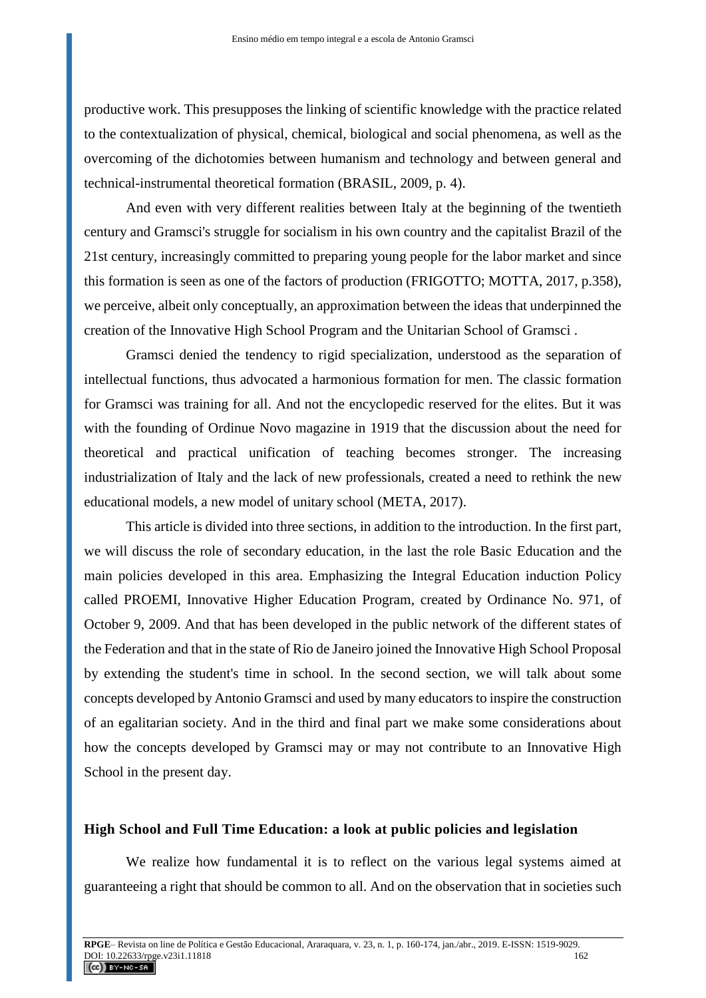productive work. This presupposes the linking of scientific knowledge with the practice related to the contextualization of physical, chemical, biological and social phenomena, as well as the overcoming of the dichotomies between humanism and technology and between general and technical-instrumental theoretical formation (BRASIL, 2009, p. 4).

And even with very different realities between Italy at the beginning of the twentieth century and Gramsci's struggle for socialism in his own country and the capitalist Brazil of the 21st century, increasingly committed to preparing young people for the labor market and since this formation is seen as one of the factors of production (FRIGOTTO; MOTTA, 2017, p.358), we perceive, albeit only conceptually, an approximation between the ideas that underpinned the creation of the Innovative High School Program and the Unitarian School of Gramsci .

Gramsci denied the tendency to rigid specialization, understood as the separation of intellectual functions, thus advocated a harmonious formation for men. The classic formation for Gramsci was training for all. And not the encyclopedic reserved for the elites. But it was with the founding of Ordinue Novo magazine in 1919 that the discussion about the need for theoretical and practical unification of teaching becomes stronger. The increasing industrialization of Italy and the lack of new professionals, created a need to rethink the new educational models, a new model of unitary school (META, 2017).

This article is divided into three sections, in addition to the introduction. In the first part, we will discuss the role of secondary education, in the last the role Basic Education and the main policies developed in this area. Emphasizing the Integral Education induction Policy called PROEMI, Innovative Higher Education Program, created by Ordinance No. 971, of October 9, 2009. And that has been developed in the public network of the different states of the Federation and that in the state of Rio de Janeiro joined the Innovative High School Proposal by extending the student's time in school. In the second section, we will talk about some concepts developed by Antonio Gramsci and used by many educators to inspire the construction of an egalitarian society. And in the third and final part we make some considerations about how the concepts developed by Gramsci may or may not contribute to an Innovative High School in the present day.

## **High School and Full Time Education: a look at public policies and legislation**

We realize how fundamental it is to reflect on the various legal systems aimed at guaranteeing a right that should be common to all. And on the observation that in societies such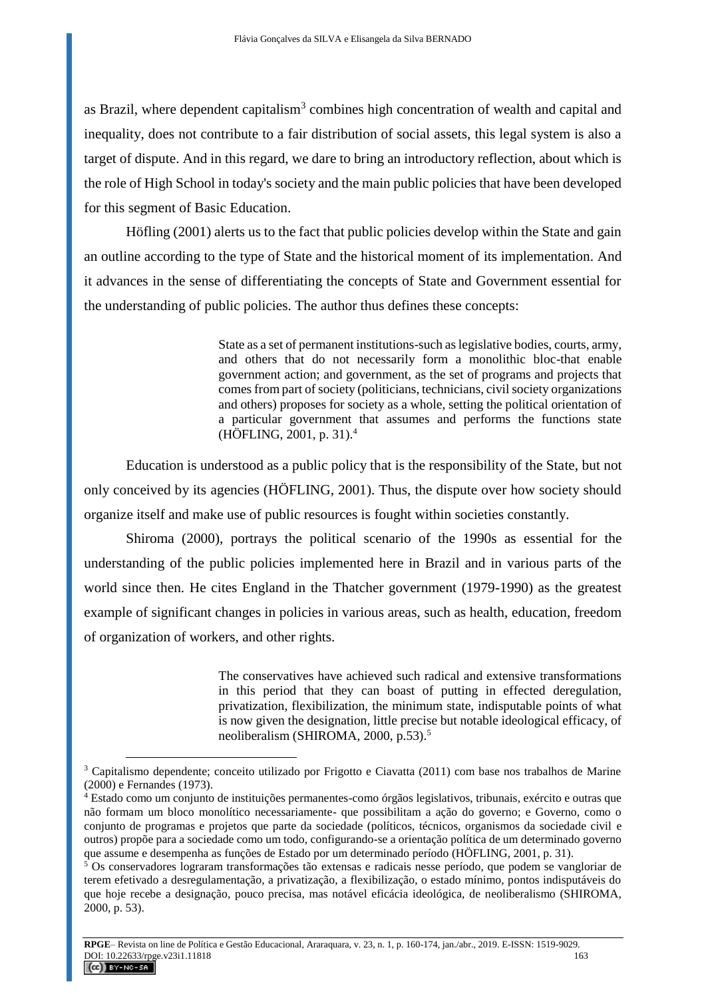as Brazil, where dependent capitalism<sup>3</sup> combines high concentration of wealth and capital and inequality, does not contribute to a fair distribution of social assets, this legal system is also a target of dispute. And in this regard, we dare to bring an introductory reflection, about which is the role of High School in today's society and the main public policies that have been developed for this segment of Basic Education.

Höfling (2001) alerts us to the fact that public policies develop within the State and gain an outline according to the type of State and the historical moment of its implementation. And it advances in the sense of differentiating the concepts of State and Government essential for the understanding of public policies. The author thus defines these concepts:

> State as a set of permanent institutions-such as legislative bodies, courts, army, and others that do not necessarily form a monolithic bloc-that enable government action; and government, as the set of programs and projects that comes from part of society (politicians, technicians, civil society organizations and others) proposes for society as a whole, setting the political orientation of a particular government that assumes and performs the functions state (HÖFLING, 2001, p. 31).<sup>4</sup>

Education is understood as a public policy that is the responsibility of the State, but not only conceived by its agencies (HÖFLING, 2001). Thus, the dispute over how society should organize itself and make use of public resources is fought within societies constantly.

Shiroma (2000), portrays the political scenario of the 1990s as essential for the understanding of the public policies implemented here in Brazil and in various parts of the world since then. He cites England in the Thatcher government (1979-1990) as the greatest example of significant changes in policies in various areas, such as health, education, freedom of organization of workers, and other rights.

> The conservatives have achieved such radical and extensive transformations in this period that they can boast of putting in effected deregulation, privatization, flexibilization, the minimum state, indisputable points of what is now given the designation, little precise but notable ideological efficacy, of neoliberalism (SHIROMA, 2000, p.53).<sup>5</sup>

<sup>3</sup> Capitalismo dependente; conceito utilizado por Frigotto e Ciavatta (2011) com base nos trabalhos de Marine (2000) e Fernandes (1973).

<sup>4</sup> Estado como um conjunto de instituições permanentes-como órgãos legislativos, tribunais, exército e outras que não formam um bloco monolítico necessariamente- que possibilitam a ação do governo; e Governo, como o conjunto de programas e projetos que parte da sociedade (políticos, técnicos, organismos da sociedade civil e outros) propõe para a sociedade como um todo, configurando-se a orientação política de um determinado governo que assume e desempenha as funções de Estado por um determinado período (HÖFLING, 2001, p. 31).

<sup>5</sup> Os conservadores lograram transformações tão extensas e radicais nesse período, que podem se vangloriar de terem efetivado a desregulamentação, a privatização, a flexibilização, o estado mínimo, pontos indisputáveis do que hoje recebe a designação, pouco precisa, mas notável eficácia ideológica, de neoliberalismo (SHIROMA, 2000, p. 53).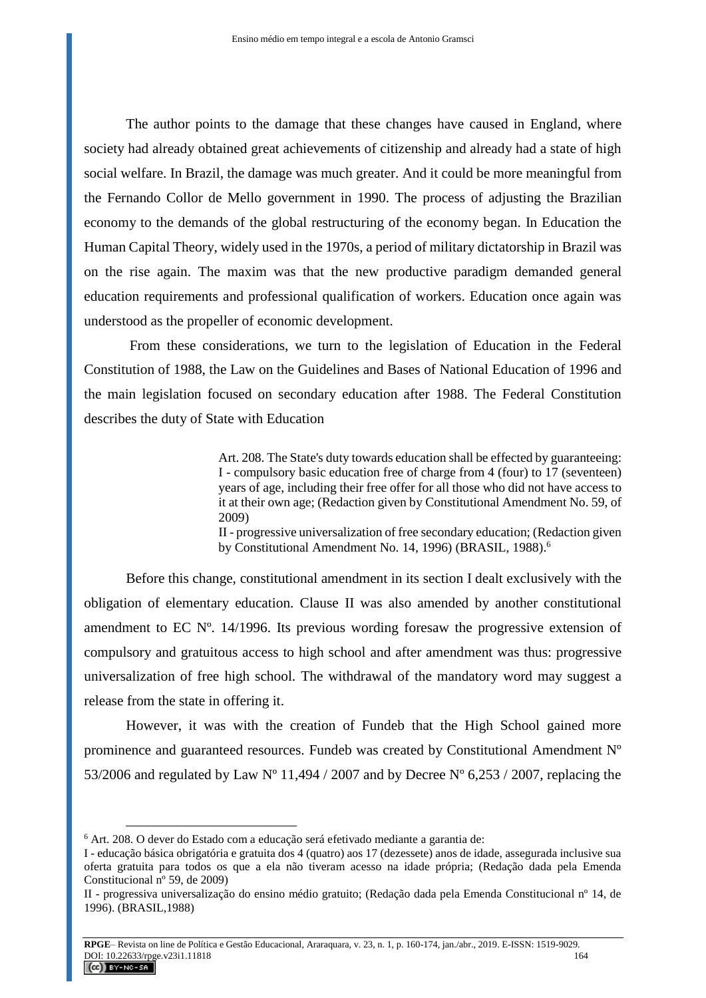The author points to the damage that these changes have caused in England, where society had already obtained great achievements of citizenship and already had a state of high social welfare. In Brazil, the damage was much greater. And it could be more meaningful from the Fernando Collor de Mello government in 1990. The process of adjusting the Brazilian economy to the demands of the global restructuring of the economy began. In Education the Human Capital Theory, widely used in the 1970s, a period of military dictatorship in Brazil was on the rise again. The maxim was that the new productive paradigm demanded general education requirements and professional qualification of workers. Education once again was understood as the propeller of economic development.

From these considerations, we turn to the legislation of Education in the Federal Constitution of 1988, the Law on the Guidelines and Bases of National Education of 1996 and the main legislation focused on secondary education after 1988. The Federal Constitution describes the duty of State with Education

> Art. 208. The State's duty towards education shall be effected by guaranteeing: I - compulsory basic education free of charge from 4 (four) to 17 (seventeen) years of age, including their free offer for all those who did not have access to it at their own age; (Redaction given by Constitutional Amendment No. 59, of 2009)

> II - progressive universalization of free secondary education; (Redaction given by Constitutional Amendment No. 14, 1996) (BRASIL, 1988).<sup>6</sup>

Before this change, constitutional amendment in its section I dealt exclusively with the obligation of elementary education. Clause II was also amended by another constitutional amendment to EC Nº. 14/1996. Its previous wording foresaw the progressive extension of compulsory and gratuitous access to high school and after amendment was thus: progressive universalization of free high school. The withdrawal of the mandatory word may suggest a release from the state in offering it.

However, it was with the creation of Fundeb that the High School gained more prominence and guaranteed resources. Fundeb was created by Constitutional Amendment Nº 53/2006 and regulated by Law N° 11,494 / 2007 and by Decree N° 6,253 / 2007, replacing the

<sup>6</sup> Art. 208. O dever do Estado com a educação será efetivado mediante a garantia de:

I - educação básica obrigatória e gratuita dos 4 (quatro) aos 17 (dezessete) anos de idade, assegurada inclusive sua oferta gratuita para todos os que a ela não tiveram acesso na idade própria; (Redação dada pela Emenda Constitucional nº 59, de 2009)

II - progressiva universalização do ensino médio gratuito; (Redação dada pela Emenda Constitucional nº 14, de 1996). (BRASIL,1988)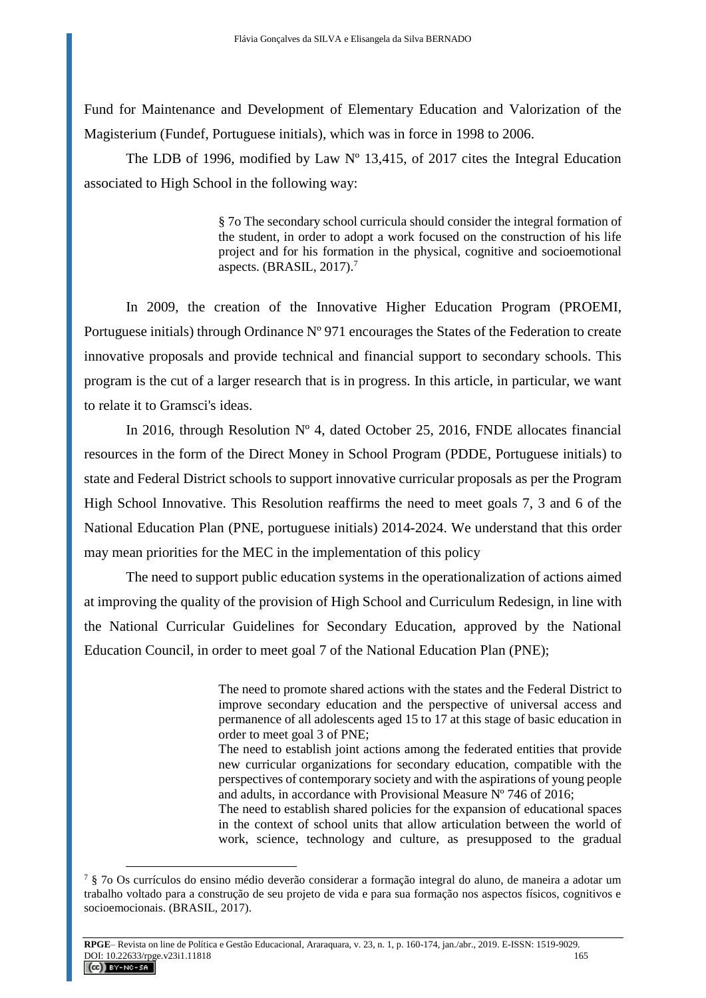Fund for Maintenance and Development of Elementary Education and Valorization of the Magisterium (Fundef, Portuguese initials), which was in force in 1998 to 2006.

The LDB of 1996, modified by Law  $N^{\circ}$  13,415, of 2017 cites the Integral Education associated to High School in the following way:

> § 7o The secondary school curricula should consider the integral formation of the student, in order to adopt a work focused on the construction of his life project and for his formation in the physical, cognitive and socioemotional aspects. (BRASIL,  $2017$ ).<sup>7</sup>

In 2009, the creation of the Innovative Higher Education Program (PROEMI, Portuguese initials) through Ordinance Nº 971 encourages the States of the Federation to create innovative proposals and provide technical and financial support to secondary schools. This program is the cut of a larger research that is in progress. In this article, in particular, we want to relate it to Gramsci's ideas.

In 2016, through Resolution  $N^{\circ}$  4, dated October 25, 2016, FNDE allocates financial resources in the form of the Direct Money in School Program (PDDE, Portuguese initials) to state and Federal District schools to support innovative curricular proposals as per the Program High School Innovative. This Resolution reaffirms the need to meet goals 7, 3 and 6 of the National Education Plan (PNE, portuguese initials) 2014-2024. We understand that this order may mean priorities for the MEC in the implementation of this policy

The need to support public education systems in the operationalization of actions aimed at improving the quality of the provision of High School and Curriculum Redesign, in line with the National Curricular Guidelines for Secondary Education, approved by the National Education Council, in order to meet goal 7 of the National Education Plan (PNE);

> The need to promote shared actions with the states and the Federal District to improve secondary education and the perspective of universal access and permanence of all adolescents aged 15 to 17 at this stage of basic education in order to meet goal 3 of PNE;

> The need to establish joint actions among the federated entities that provide new curricular organizations for secondary education, compatible with the perspectives of contemporary society and with the aspirations of young people and adults, in accordance with Provisional Measure Nº 746 of 2016;

> The need to establish shared policies for the expansion of educational spaces in the context of school units that allow articulation between the world of work, science, technology and culture, as presupposed to the gradual

<sup>7</sup> § 7o Os currículos do ensino médio deverão considerar a formação integral do aluno, de maneira a adotar um trabalho voltado para a construção de seu projeto de vida e para sua formação nos aspectos físicos, cognitivos e socioemocionais. (BRASIL, 2017).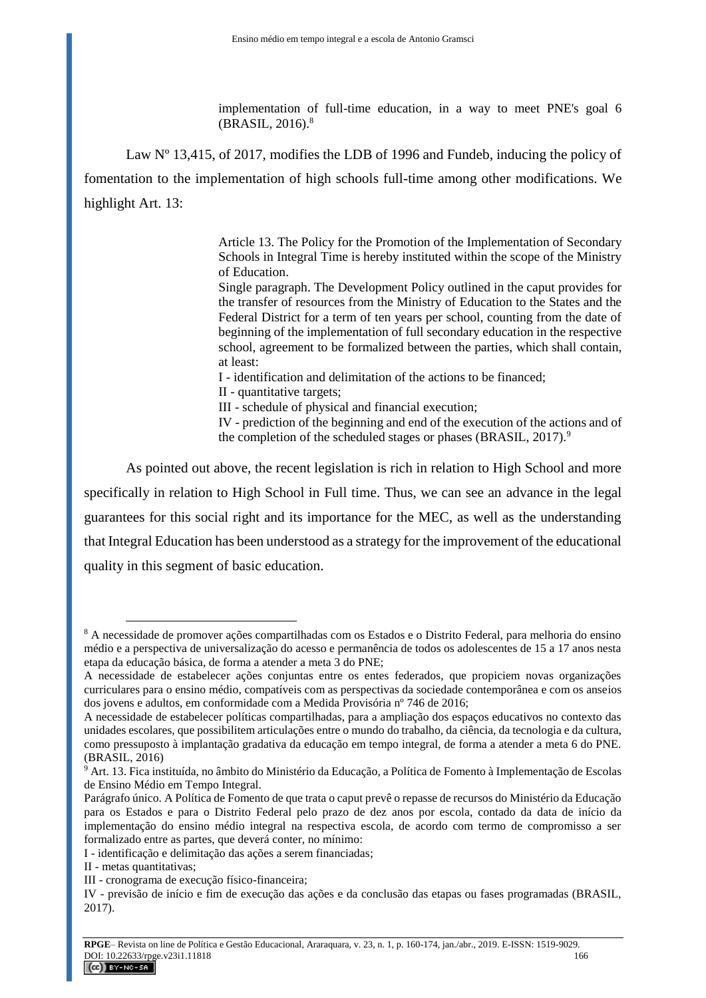implementation of full-time education, in a way to meet PNE's goal 6 (BRASIL, 2016). 8

Law N° 13,415, of 2017, modifies the LDB of 1996 and Fundeb, inducing the policy of

fomentation to the implementation of high schools full-time among other modifications. We highlight Art. 13:

> Article 13. The Policy for the Promotion of the Implementation of Secondary Schools in Integral Time is hereby instituted within the scope of the Ministry of Education.

> Single paragraph. The Development Policy outlined in the caput provides for the transfer of resources from the Ministry of Education to the States and the Federal District for a term of ten years per school, counting from the date of beginning of the implementation of full secondary education in the respective school, agreement to be formalized between the parties, which shall contain, at least:

I - identification and delimitation of the actions to be financed;

II - quantitative targets;

III - schedule of physical and financial execution;

IV - prediction of the beginning and end of the execution of the actions and of the completion of the scheduled stages or phases (BRASIL, 2017).<sup>9</sup>

As pointed out above, the recent legislation is rich in relation to High School and more specifically in relation to High School in Full time. Thus, we can see an advance in the legal guarantees for this social right and its importance for the MEC, as well as the understanding that Integral Education has been understood as a strategy for the improvement of the educational quality in this segment of basic education.

<sup>8</sup> A necessidade de promover ações compartilhadas com os Estados e o Distrito Federal, para melhoria do ensino médio e a perspectiva de universalização do acesso e permanência de todos os adolescentes de 15 a 17 anos nesta etapa da educação básica, de forma a atender a meta 3 do PNE;

A necessidade de estabelecer ações conjuntas entre os entes federados, que propiciem novas organizações curriculares para o ensino médio, compatíveis com as perspectivas da sociedade contemporânea e com os anseios dos jovens e adultos, em conformidade com a Medida Provisória nº 746 de 2016;

A necessidade de estabelecer políticas compartilhadas, para a ampliação dos espaços educativos no contexto das unidades escolares, que possibilitem articulações entre o mundo do trabalho, da ciência, da tecnologia e da cultura, como pressuposto à implantação gradativa da educação em tempo integral, de forma a atender a meta 6 do PNE. (BRASIL, 2016)

<sup>9</sup> Art. 13. Fica instituída, no âmbito do Ministério da Educação, a Política de Fomento à Implementação de Escolas de Ensino Médio em Tempo Integral.

Parágrafo único. A Política de Fomento de que trata o caput prevê o repasse de recursos do Ministério da Educação para os Estados e para o Distrito Federal pelo prazo de dez anos por escola, contado da data de início da implementação do ensino médio integral na respectiva escola, de acordo com termo de compromisso a ser formalizado entre as partes, que deverá conter, no mínimo:

I - identificação e delimitação das ações a serem financiadas;

II - metas quantitativas;

III - cronograma de execução físico-financeira;

IV - previsão de início e fim de execução das ações e da conclusão das etapas ou fases programadas (BRASIL, 2017).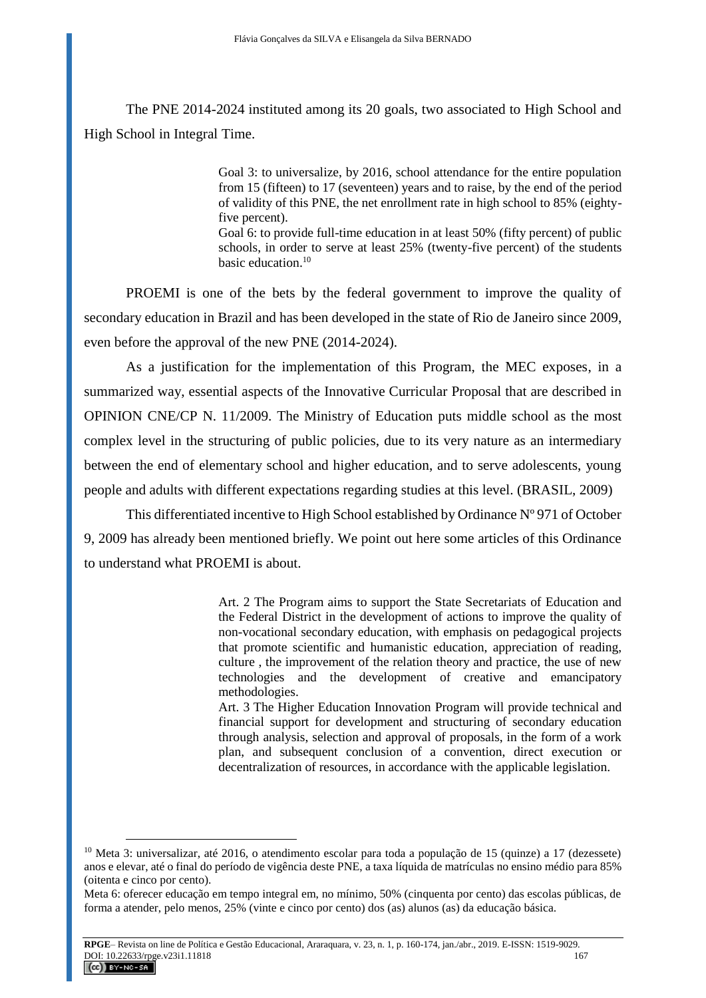The PNE 2014-2024 instituted among its 20 goals, two associated to High School and High School in Integral Time.

> Goal 3: to universalize, by 2016, school attendance for the entire population from 15 (fifteen) to 17 (seventeen) years and to raise, by the end of the period of validity of this PNE, the net enrollment rate in high school to 85% (eightyfive percent). Goal 6: to provide full-time education in at least 50% (fifty percent) of public schools, in order to serve at least 25% (twenty-five percent) of the students basic education.<sup>10</sup>

PROEMI is one of the bets by the federal government to improve the quality of secondary education in Brazil and has been developed in the state of Rio de Janeiro since 2009, even before the approval of the new PNE (2014-2024).

As a justification for the implementation of this Program, the MEC exposes, in a summarized way, essential aspects of the Innovative Curricular Proposal that are described in OPINION CNE/CP N. 11/2009. The Ministry of Education puts middle school as the most complex level in the structuring of public policies, due to its very nature as an intermediary between the end of elementary school and higher education, and to serve adolescents, young people and adults with different expectations regarding studies at this level. (BRASIL, 2009)

This differentiated incentive to High School established by Ordinance Nº 971 of October 9, 2009 has already been mentioned briefly. We point out here some articles of this Ordinance to understand what PROEMI is about.

> Art. 2 The Program aims to support the State Secretariats of Education and the Federal District in the development of actions to improve the quality of non-vocational secondary education, with emphasis on pedagogical projects that promote scientific and humanistic education, appreciation of reading, culture , the improvement of the relation theory and practice, the use of new technologies and the development of creative and emancipatory methodologies.

> Art. 3 The Higher Education Innovation Program will provide technical and financial support for development and structuring of secondary education through analysis, selection and approval of proposals, in the form of a work plan, and subsequent conclusion of a convention, direct execution or decentralization of resources, in accordance with the applicable legislation.

<sup>&</sup>lt;sup>10</sup> Meta 3: universalizar, até 2016, o atendimento escolar para toda a população de 15 (quinze) a 17 (dezessete) anos e elevar, até o final do período de vigência deste PNE, a taxa líquida de matrículas no ensino médio para 85% (oitenta e cinco por cento).

Meta 6: oferecer educação em tempo integral em, no mínimo, 50% (cinquenta por cento) das escolas públicas, de forma a atender, pelo menos, 25% (vinte e cinco por cento) dos (as) alunos (as) da educação básica.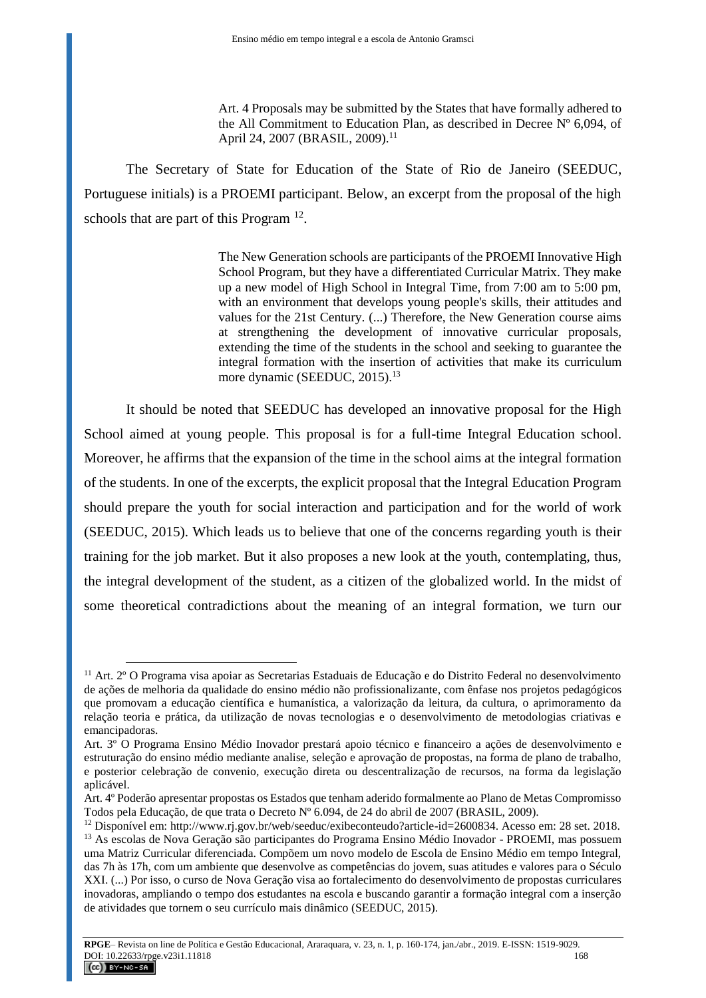Art. 4 Proposals may be submitted by the States that have formally adhered to the All Commitment to Education Plan, as described in Decree Nº 6,094, of April 24, 2007 (BRASIL, 2009).<sup>11</sup>

The Secretary of State for Education of the State of Rio de Janeiro (SEEDUC, Portuguese initials) is a PROEMI participant. Below, an excerpt from the proposal of the high schools that are part of this Program  $12$ .

> The New Generation schools are participants of the PROEMI Innovative High School Program, but they have a differentiated Curricular Matrix. They make up a new model of High School in Integral Time, from 7:00 am to 5:00 pm, with an environment that develops young people's skills, their attitudes and values for the 21st Century. (...) Therefore, the New Generation course aims at strengthening the development of innovative curricular proposals, extending the time of the students in the school and seeking to guarantee the integral formation with the insertion of activities that make its curriculum more dynamic (SEEDUC, 2015).<sup>13</sup>

It should be noted that SEEDUC has developed an innovative proposal for the High School aimed at young people. This proposal is for a full-time Integral Education school. Moreover, he affirms that the expansion of the time in the school aims at the integral formation of the students. In one of the excerpts, the explicit proposal that the Integral Education Program should prepare the youth for social interaction and participation and for the world of work (SEEDUC, 2015). Which leads us to believe that one of the concerns regarding youth is their training for the job market. But it also proposes a new look at the youth, contemplating, thus, the integral development of the student, as a citizen of the globalized world. In the midst of some theoretical contradictions about the meaning of an integral formation, we turn our

<sup>11</sup> Art. 2º O Programa visa apoiar as Secretarias Estaduais de Educação e do Distrito Federal no desenvolvimento de ações de melhoria da qualidade do ensino médio não profissionalizante, com ênfase nos projetos pedagógicos que promovam a educação científica e humanística, a valorização da leitura, da cultura, o aprimoramento da relação teoria e prática, da utilização de novas tecnologias e o desenvolvimento de metodologias criativas e emancipadoras.

Art. 3º O Programa Ensino Médio Inovador prestará apoio técnico e financeiro a ações de desenvolvimento e estruturação do ensino médio mediante analise, seleção e aprovação de propostas, na forma de plano de trabalho, e posterior celebração de convenio, execução direta ou descentralização de recursos, na forma da legislação aplicável.

Art. 4º Poderão apresentar propostas os Estados que tenham aderido formalmente ao Plano de Metas Compromisso Todos pela Educação, de que trata o Decreto Nº 6.094, de 24 do abril de 2007 (BRASIL, 2009).

<sup>12</sup> Disponível em: http://www.rj.gov.br/web/seeduc/exibeconteudo?article-id=2600834. Acesso em: 28 set. 2018. <sup>13</sup> As escolas de Nova Geração são participantes do Programa Ensino Médio Inovador - PROEMI, mas possuem uma Matriz Curricular diferenciada. Compõem um novo modelo de Escola de Ensino Médio em tempo Integral, das 7h às 17h, com um ambiente que desenvolve as competências do jovem, suas atitudes e valores para o Século XXI. (...) Por isso, o curso de Nova Geração visa ao fortalecimento do desenvolvimento de propostas curriculares inovadoras, ampliando o tempo dos estudantes na escola e buscando garantir a formação integral com a inserção de atividades que tornem o seu currículo mais dinâmico (SEEDUC, 2015).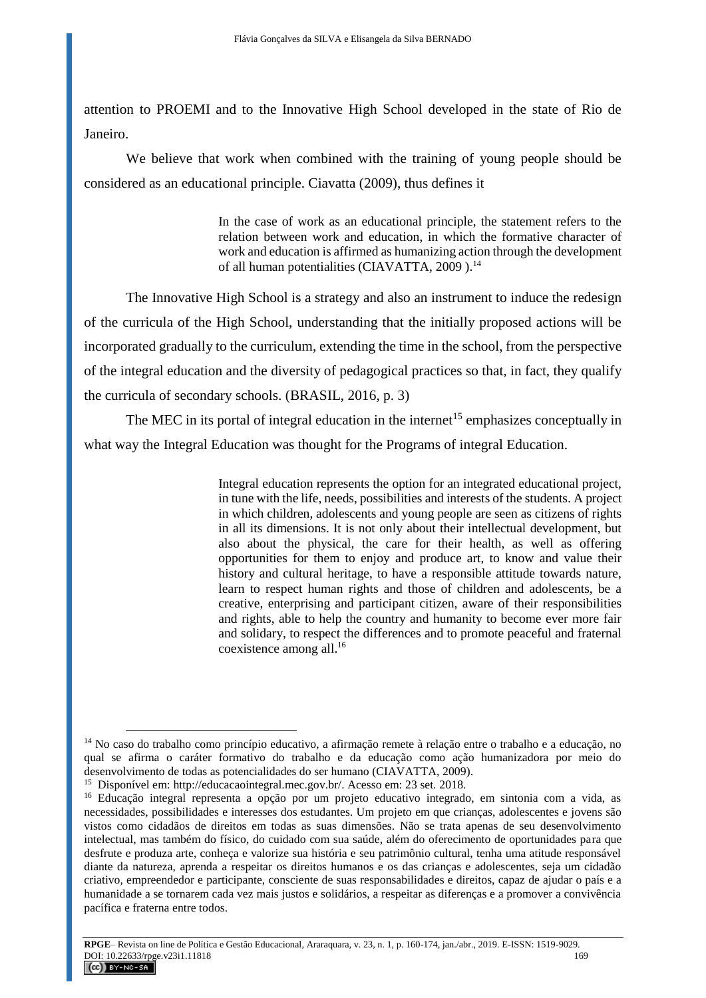attention to PROEMI and to the Innovative High School developed in the state of Rio de Janeiro.

We believe that work when combined with the training of young people should be considered as an educational principle. Ciavatta (2009), thus defines it

> In the case of work as an educational principle, the statement refers to the relation between work and education, in which the formative character of work and education is affirmed as humanizing action through the development of all human potentialities (CIAVATTA,  $2009$ ).<sup>14</sup>

The Innovative High School is a strategy and also an instrument to induce the redesign of the curricula of the High School, understanding that the initially proposed actions will be incorporated gradually to the curriculum, extending the time in the school, from the perspective of the integral education and the diversity of pedagogical practices so that, in fact, they qualify the curricula of secondary schools. (BRASIL, 2016, p. 3)

The MEC in its portal of integral education in the internet<sup>15</sup> emphasizes conceptually in what way the Integral Education was thought for the Programs of integral Education.

> Integral education represents the option for an integrated educational project, in tune with the life, needs, possibilities and interests of the students. A project in which children, adolescents and young people are seen as citizens of rights in all its dimensions. It is not only about their intellectual development, but also about the physical, the care for their health, as well as offering opportunities for them to enjoy and produce art, to know and value their history and cultural heritage, to have a responsible attitude towards nature, learn to respect human rights and those of children and adolescents, be a creative, enterprising and participant citizen, aware of their responsibilities and rights, able to help the country and humanity to become ever more fair and solidary, to respect the differences and to promote peaceful and fraternal coexistence among all.<sup>16</sup>

<sup>&</sup>lt;sup>14</sup> No caso do trabalho como princípio educativo, a afirmação remete à relação entre o trabalho e a educação, no qual se afirma o caráter formativo do trabalho e da educação como ação humanizadora por meio do desenvolvimento de todas as potencialidades do ser humano (CIAVATTA, 2009).

<sup>&</sup>lt;sup>15</sup> Disponível em: http://educacaointegral.mec.gov.br/. Acesso em: 23 set. 2018.

<sup>16</sup> Educação integral representa a opção por um projeto educativo integrado, em sintonia com a vida, as necessidades, possibilidades e interesses dos estudantes. Um projeto em que crianças, adolescentes e jovens são vistos como cidadãos de direitos em todas as suas dimensões. Não se trata apenas de seu desenvolvimento intelectual, mas também do físico, do cuidado com sua saúde, além do oferecimento de oportunidades para que desfrute e produza arte, conheça e valorize sua história e seu patrimônio cultural, tenha uma atitude responsável diante da natureza, aprenda a respeitar os direitos humanos e os das crianças e adolescentes, seja um cidadão criativo, empreendedor e participante, consciente de suas responsabilidades e direitos, capaz de ajudar o país e a humanidade a se tornarem cada vez mais justos e solidários, a respeitar as diferenças e a promover a convivência pacífica e fraterna entre todos.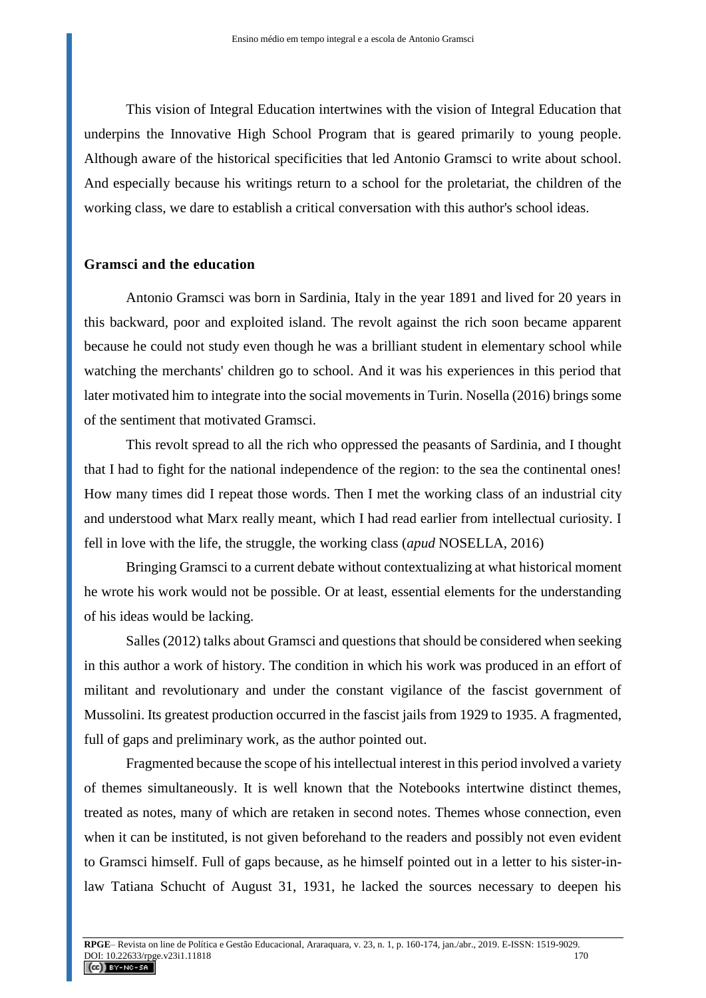This vision of Integral Education intertwines with the vision of Integral Education that underpins the Innovative High School Program that is geared primarily to young people. Although aware of the historical specificities that led Antonio Gramsci to write about school. And especially because his writings return to a school for the proletariat, the children of the working class, we dare to establish a critical conversation with this author's school ideas.

#### **Gramsci and the education**

Antonio Gramsci was born in Sardinia, Italy in the year 1891 and lived for 20 years in this backward, poor and exploited island. The revolt against the rich soon became apparent because he could not study even though he was a brilliant student in elementary school while watching the merchants' children go to school. And it was his experiences in this period that later motivated him to integrate into the social movements in Turin. Nosella (2016) brings some of the sentiment that motivated Gramsci.

This revolt spread to all the rich who oppressed the peasants of Sardinia, and I thought that I had to fight for the national independence of the region: to the sea the continental ones! How many times did I repeat those words. Then I met the working class of an industrial city and understood what Marx really meant, which I had read earlier from intellectual curiosity. I fell in love with the life, the struggle, the working class (*apud* NOSELLA, 2016)

Bringing Gramsci to a current debate without contextualizing at what historical moment he wrote his work would not be possible. Or at least, essential elements for the understanding of his ideas would be lacking.

Salles (2012) talks about Gramsci and questions that should be considered when seeking in this author a work of history. The condition in which his work was produced in an effort of militant and revolutionary and under the constant vigilance of the fascist government of Mussolini. Its greatest production occurred in the fascist jails from 1929 to 1935. A fragmented, full of gaps and preliminary work, as the author pointed out.

Fragmented because the scope of his intellectual interest in this period involved a variety of themes simultaneously. It is well known that the Notebooks intertwine distinct themes, treated as notes, many of which are retaken in second notes. Themes whose connection, even when it can be instituted, is not given beforehand to the readers and possibly not even evident to Gramsci himself. Full of gaps because, as he himself pointed out in a letter to his sister-inlaw Tatiana Schucht of August 31, 1931, he lacked the sources necessary to deepen his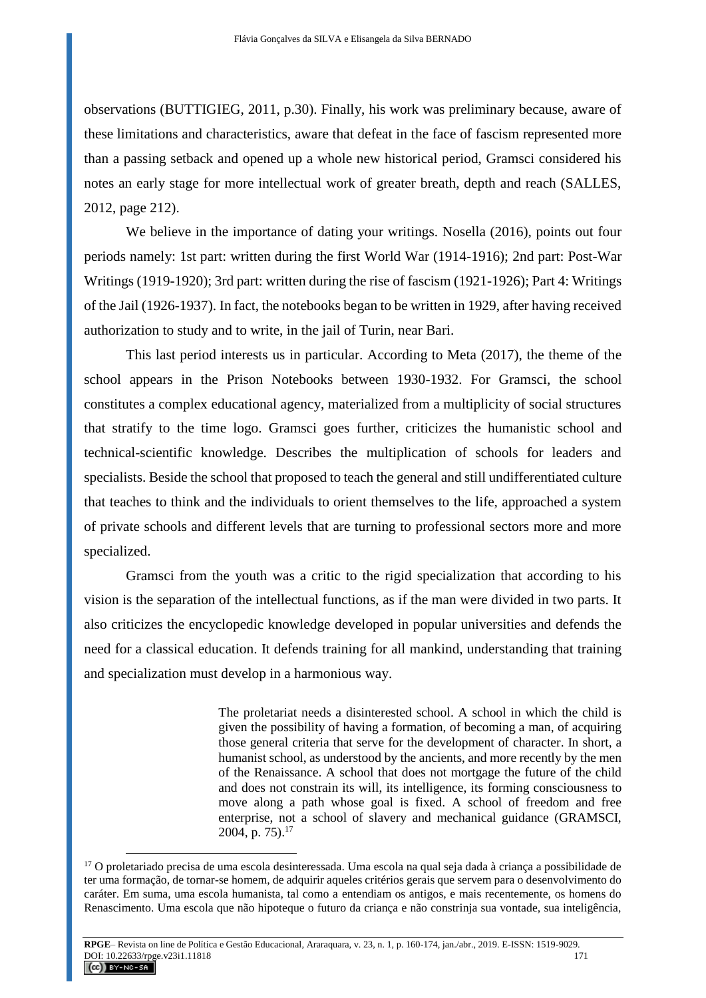observations (BUTTIGIEG, 2011, p.30). Finally, his work was preliminary because, aware of these limitations and characteristics, aware that defeat in the face of fascism represented more than a passing setback and opened up a whole new historical period, Gramsci considered his notes an early stage for more intellectual work of greater breath, depth and reach (SALLES, 2012, page 212).

We believe in the importance of dating your writings. Nosella (2016), points out four periods namely: 1st part: written during the first World War (1914-1916); 2nd part: Post-War Writings (1919-1920); 3rd part: written during the rise of fascism (1921-1926); Part 4: Writings of the Jail (1926-1937). In fact, the notebooks began to be written in 1929, after having received authorization to study and to write, in the jail of Turin, near Bari.

This last period interests us in particular. According to Meta (2017), the theme of the school appears in the Prison Notebooks between 1930-1932. For Gramsci, the school constitutes a complex educational agency, materialized from a multiplicity of social structures that stratify to the time logo. Gramsci goes further, criticizes the humanistic school and technical-scientific knowledge. Describes the multiplication of schools for leaders and specialists. Beside the school that proposed to teach the general and still undifferentiated culture that teaches to think and the individuals to orient themselves to the life, approached a system of private schools and different levels that are turning to professional sectors more and more specialized.

Gramsci from the youth was a critic to the rigid specialization that according to his vision is the separation of the intellectual functions, as if the man were divided in two parts. It also criticizes the encyclopedic knowledge developed in popular universities and defends the need for a classical education. It defends training for all mankind, understanding that training and specialization must develop in a harmonious way.

> The proletariat needs a disinterested school. A school in which the child is given the possibility of having a formation, of becoming a man, of acquiring those general criteria that serve for the development of character. In short, a humanist school, as understood by the ancients, and more recently by the men of the Renaissance. A school that does not mortgage the future of the child and does not constrain its will, its intelligence, its forming consciousness to move along a path whose goal is fixed. A school of freedom and free enterprise, not a school of slavery and mechanical guidance (GRAMSCI, 2004, p. 75). 17

<sup>&</sup>lt;sup>17</sup> O proletariado precisa de uma escola desinteressada. Uma escola na qual seja dada à criança a possibilidade de ter uma formação, de tornar-se homem, de adquirir aqueles critérios gerais que servem para o desenvolvimento do caráter. Em suma, uma escola humanista, tal como a entendiam os antigos, e mais recentemente, os homens do Renascimento. Uma escola que não hipoteque o futuro da criança e não constrinja sua vontade, sua inteligência,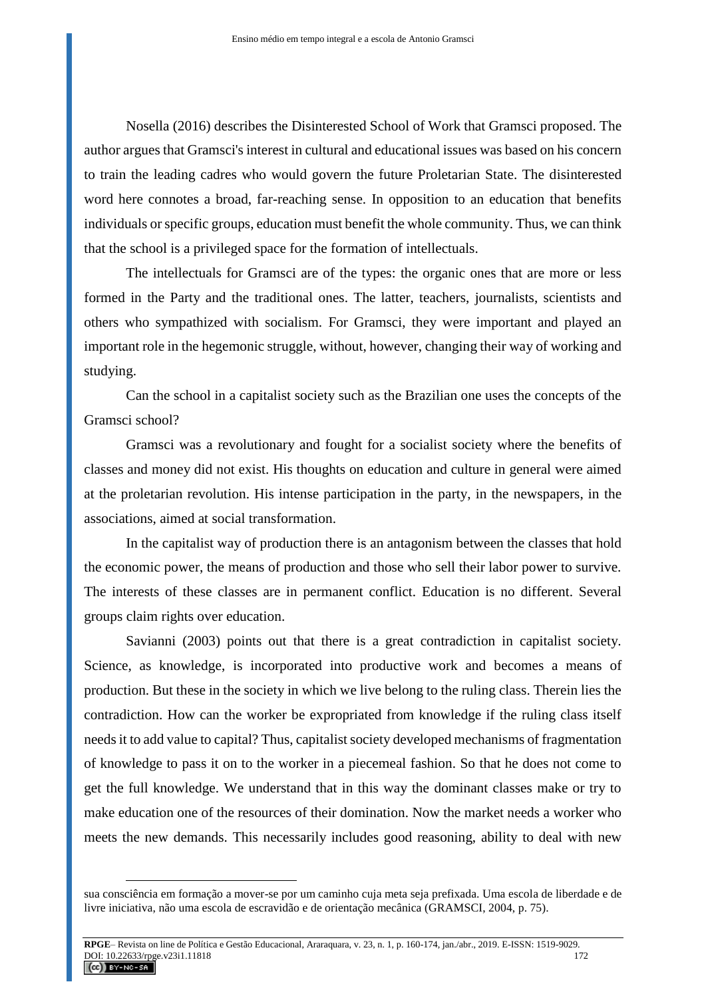Nosella (2016) describes the Disinterested School of Work that Gramsci proposed. The author argues that Gramsci's interest in cultural and educational issues was based on his concern to train the leading cadres who would govern the future Proletarian State. The disinterested word here connotes a broad, far-reaching sense. In opposition to an education that benefits individuals or specific groups, education must benefit the whole community. Thus, we can think that the school is a privileged space for the formation of intellectuals.

The intellectuals for Gramsci are of the types: the organic ones that are more or less formed in the Party and the traditional ones. The latter, teachers, journalists, scientists and others who sympathized with socialism. For Gramsci, they were important and played an important role in the hegemonic struggle, without, however, changing their way of working and studying.

Can the school in a capitalist society such as the Brazilian one uses the concepts of the Gramsci school?

Gramsci was a revolutionary and fought for a socialist society where the benefits of classes and money did not exist. His thoughts on education and culture in general were aimed at the proletarian revolution. His intense participation in the party, in the newspapers, in the associations, aimed at social transformation.

In the capitalist way of production there is an antagonism between the classes that hold the economic power, the means of production and those who sell their labor power to survive. The interests of these classes are in permanent conflict. Education is no different. Several groups claim rights over education.

Savianni (2003) points out that there is a great contradiction in capitalist society. Science, as knowledge, is incorporated into productive work and becomes a means of production. But these in the society in which we live belong to the ruling class. Therein lies the contradiction. How can the worker be expropriated from knowledge if the ruling class itself needs it to add value to capital? Thus, capitalist society developed mechanisms of fragmentation of knowledge to pass it on to the worker in a piecemeal fashion. So that he does not come to get the full knowledge. We understand that in this way the dominant classes make or try to make education one of the resources of their domination. Now the market needs a worker who meets the new demands. This necessarily includes good reasoning, ability to deal with new

sua consciência em formação a mover-se por um caminho cuja meta seja prefixada. Uma escola de liberdade e de livre iniciativa, não uma escola de escravidão e de orientação mecânica (GRAMSCI, 2004, p. 75).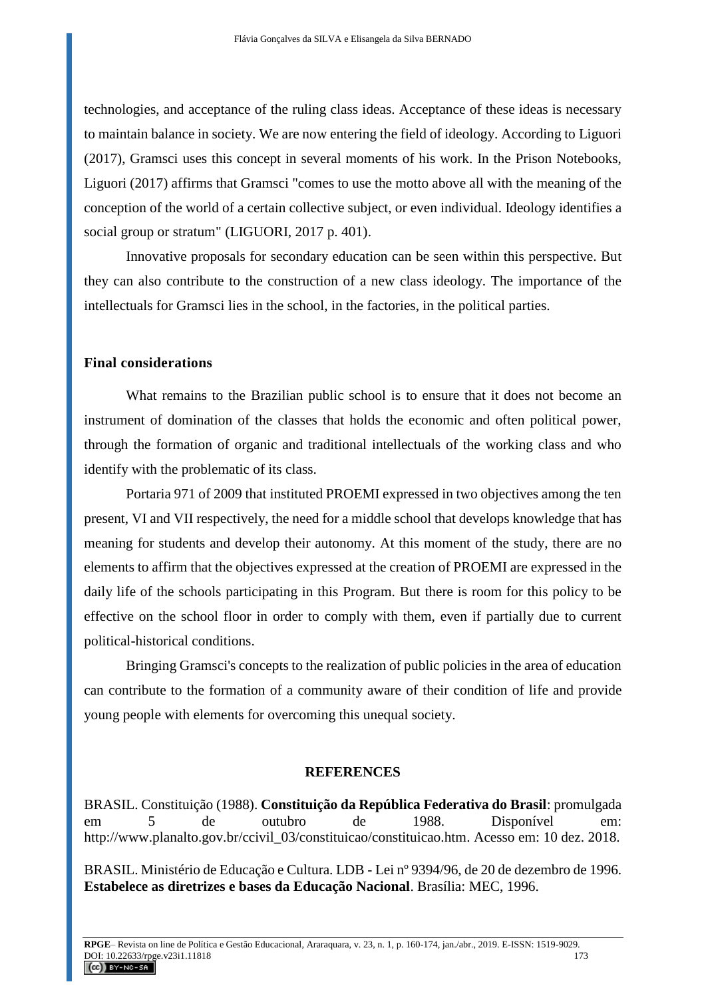technologies, and acceptance of the ruling class ideas. Acceptance of these ideas is necessary to maintain balance in society. We are now entering the field of ideology. According to Liguori (2017), Gramsci uses this concept in several moments of his work. In the Prison Notebooks, Liguori (2017) affirms that Gramsci "comes to use the motto above all with the meaning of the conception of the world of a certain collective subject, or even individual. Ideology identifies a social group or stratum" (LIGUORI, 2017 p. 401).

Innovative proposals for secondary education can be seen within this perspective. But they can also contribute to the construction of a new class ideology. The importance of the intellectuals for Gramsci lies in the school, in the factories, in the political parties.

### **Final considerations**

What remains to the Brazilian public school is to ensure that it does not become an instrument of domination of the classes that holds the economic and often political power, through the formation of organic and traditional intellectuals of the working class and who identify with the problematic of its class.

Portaria 971 of 2009 that instituted PROEMI expressed in two objectives among the ten present, VI and VII respectively, the need for a middle school that develops knowledge that has meaning for students and develop their autonomy. At this moment of the study, there are no elements to affirm that the objectives expressed at the creation of PROEMI are expressed in the daily life of the schools participating in this Program. But there is room for this policy to be effective on the school floor in order to comply with them, even if partially due to current political-historical conditions.

Bringing Gramsci's concepts to the realization of public policies in the area of education can contribute to the formation of a community aware of their condition of life and provide young people with elements for overcoming this unequal society.

#### **REFERENCES**

BRASIL. Constituição (1988). **Constituição da República Federativa do Brasil**: promulgada em 5 de outubro de 1988. Disponível em: http://www.planalto.gov.br/ccivil 03/constituicao/constituicao.htm. Acesso em: 10 dez. 2018.

BRASIL. Ministério de Educação e Cultura. LDB - Lei nº 9394/96, de 20 de dezembro de 1996. **Estabelece as diretrizes e bases da Educação Nacional**. Brasília: MEC, 1996.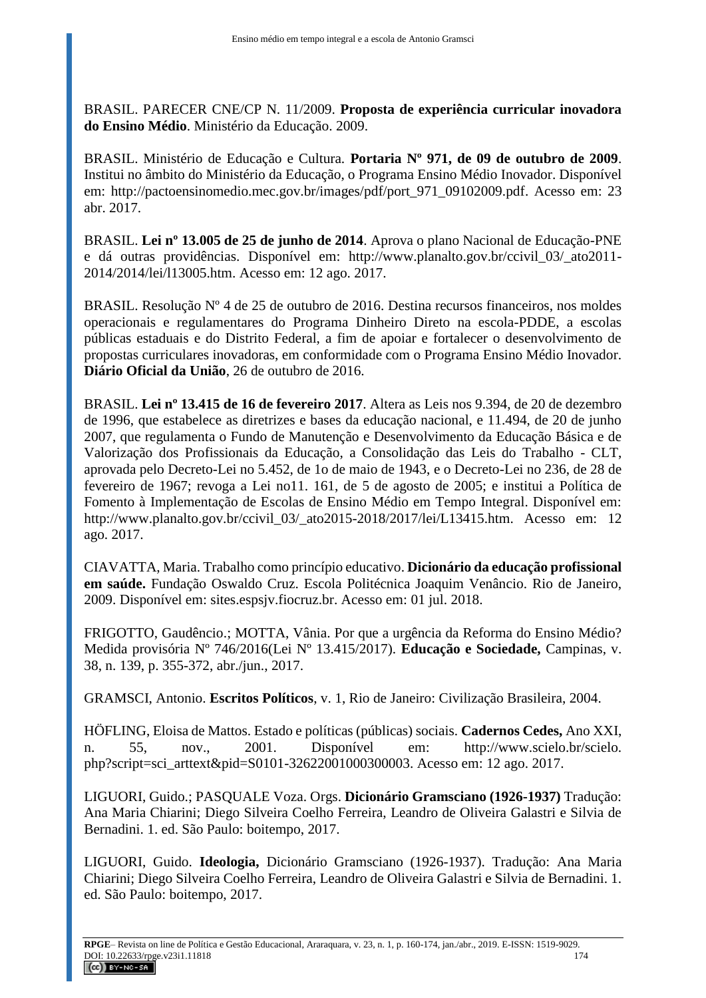BRASIL. PARECER CNE/CP N. 11/2009. **Proposta de experiência curricular inovadora do Ensino Médio**. Ministério da Educação. 2009.

BRASIL. Ministério de Educação e Cultura. **Portaria Nº 971, de 09 de outubro de 2009**. Institui no âmbito do Ministério da Educação, o Programa Ensino Médio Inovador. Disponível em: http://pactoensinomedio.mec.gov.br/images/pdf/port 971\_09102009.pdf. Acesso em: 23 abr. 2017.

BRASIL. **Lei nº 13.005 de 25 de junho de 2014**. Aprova o plano Nacional de Educação-PNE e dá outras providências. Disponível em: http://www.planalto.gov.br/ccivil\_03/\_ato2011- 2014/2014/lei/l13005.htm. Acesso em: 12 ago. 2017.

BRASIL. Resolução Nº 4 de 25 de outubro de 2016. Destina recursos financeiros, nos moldes operacionais e regulamentares do Programa Dinheiro Direto na escola-PDDE, a escolas públicas estaduais e do Distrito Federal, a fim de apoiar e fortalecer o desenvolvimento de propostas curriculares inovadoras, em conformidade com o Programa Ensino Médio Inovador. **Diário Oficial da União**, 26 de outubro de 2016.

BRASIL. **Lei nº 13.415 de 16 de fevereiro 2017**. Altera as Leis nos 9.394, de 20 de dezembro de 1996, que estabelece as diretrizes e bases da educação nacional, e 11.494, de 20 de junho 2007, que regulamenta o Fundo de Manutenção e Desenvolvimento da Educação Básica e de Valorização dos Profissionais da Educação, a Consolidação das Leis do Trabalho - CLT, aprovada pelo Decreto-Lei no 5.452, de 1o de maio de 1943, e o Decreto-Lei no 236, de 28 de fevereiro de 1967; revoga a Lei no11. 161, de 5 de agosto de 2005; e institui a Política de Fomento à Implementação de Escolas de Ensino Médio em Tempo Integral. Disponível em: http://www.planalto.gov.br/ccivil 03/ ato2015-2018/2017/lei/L13415.htm. Acesso em: 12 ago. 2017.

CIAVATTA, Maria. Trabalho como princípio educativo. **Dicionário da educação profissional em saúde.** Fundação Oswaldo Cruz. Escola Politécnica Joaquim Venâncio. Rio de Janeiro, 2009. Disponível em: sites.espsjv.fiocruz.br. Acesso em: 01 jul. 2018.

FRIGOTTO, Gaudêncio.; MOTTA, Vânia. Por que a urgência da Reforma do Ensino Médio? Medida provisória Nº 746/2016(Lei Nº 13.415/2017). **Educação e Sociedade,** Campinas, v. 38, n. 139, p. 355-372, abr./jun., 2017.

GRAMSCI, Antonio. **Escritos Políticos**, v. 1, Rio de Janeiro: Civilização Brasileira, 2004.

HÖFLING, Eloisa de Mattos. Estado e políticas (públicas) sociais. **Cadernos Cedes,** Ano XXI, n. 55, nov., 2001. Disponível em: http://www.scielo.br/scielo. php?script=sci\_arttext&pid=S0101-32622001000300003. Acesso em: 12 ago. 2017.

LIGUORI, Guido.; PASQUALE Voza. Orgs. **Dicionário Gramsciano (1926-1937)** Tradução: Ana Maria Chiarini; Diego Silveira Coelho Ferreira, Leandro de Oliveira Galastri e Silvia de Bernadini. 1. ed. São Paulo: boitempo, 2017.

LIGUORI, Guido. **Ideologia,** Dicionário Gramsciano (1926-1937). Tradução: Ana Maria Chiarini; Diego Silveira Coelho Ferreira, Leandro de Oliveira Galastri e Silvia de Bernadini. 1. ed. São Paulo: boitempo, 2017.